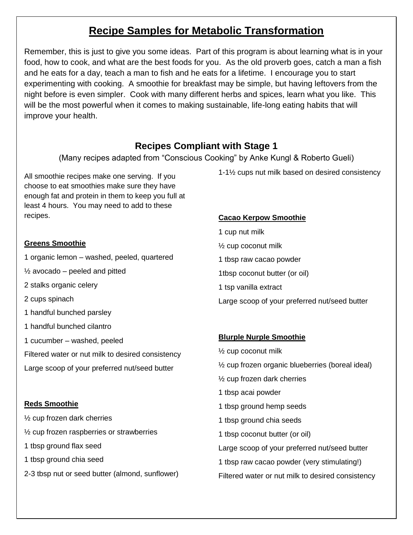# **Recipe Samples for Metabolic Transformation**

Remember, this is just to give you some ideas. Part of this program is about learning what is in your food, how to cook, and what are the best foods for you. As the old proverb goes, catch a man a fish and he eats for a day, teach a man to fish and he eats for a lifetime. I encourage you to start experimenting with cooking. A smoothie for breakfast may be simple, but having leftovers from the night before is even simpler. Cook with many different herbs and spices, learn what you like. This will be the most powerful when it comes to making sustainable, life-long eating habits that will improve your health.

### **Recipes Compliant with Stage 1**

(Many recipes adapted from "Conscious Cooking" by Anke Kungl & Roberto Gueli)

All smoothie recipes make one serving. If you choose to eat smoothies make sure they have enough fat and protein in them to keep you full at least 4 hours. You may need to add to these recipes.

### **Greens Smoothie**

1 organic lemon – washed, peeled, quartered

 $\frac{1}{2}$  avocado – peeled and pitted

- 2 stalks organic celery
- 2 cups spinach
- 1 handful bunched parsley
- 1 handful bunched cilantro
- 1 cucumber washed, peeled
- Filtered water or nut milk to desired consistency

Large scoop of your preferred nut/seed butter

### **Reds Smoothie**

- ½ cup frozen dark cherries
- ½ cup frozen raspberries or strawberries
- 1 tbsp ground flax seed
- 1 tbsp ground chia seed
- 2-3 tbsp nut or seed butter (almond, sunflower)

1-1½ cups nut milk based on desired consistency

### **Cacao Kerpow Smoothie**

1 cup nut milk ½ cup coconut milk 1 tbsp raw cacao powder 1tbsp coconut butter (or oil) 1 tsp vanilla extract Large scoop of your preferred nut/seed butter

### **Blurple Nurple Smoothie**

½ cup coconut milk ½ cup frozen organic blueberries (boreal ideal) ½ cup frozen dark cherries 1 tbsp acai powder 1 tbsp ground hemp seeds 1 tbsp ground chia seeds 1 tbsp coconut butter (or oil) Large scoop of your preferred nut/seed butter 1 tbsp raw cacao powder (very stimulating!) Filtered water or nut milk to desired consistency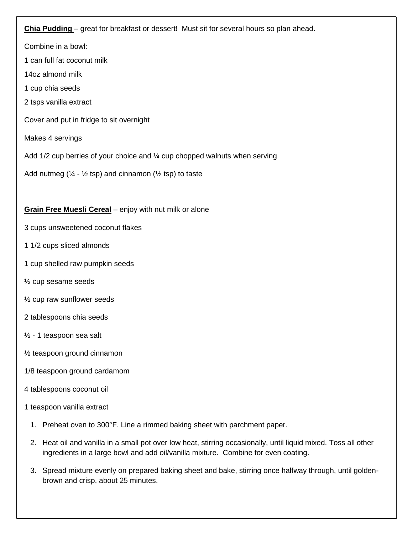#### **Chia Pudding** – great for breakfast or dessert! Must sit for several hours so plan ahead.

Combine in a bowl:

1 can full fat coconut milk

14oz almond milk

- 1 cup chia seeds
- 2 tsps vanilla extract

Cover and put in fridge to sit overnight

Makes 4 servings

Add 1/2 cup berries of your choice and ¼ cup chopped walnuts when serving

Add nutmeg ( $\frac{1}{4}$  -  $\frac{1}{2}$  tsp) and cinnamon ( $\frac{1}{2}$  tsp) to taste

#### **Grain Free Muesli Cereal** – enjoy with nut milk or alone

- 3 cups unsweetened coconut flakes
- 1 1/2 cups sliced almonds
- 1 cup shelled raw pumpkin seeds
- ½ cup sesame seeds
- ½ cup raw sunflower seeds
- 2 tablespoons chia seeds
- ½ 1 teaspoon sea salt
- ½ teaspoon ground cinnamon
- 1/8 teaspoon ground cardamom

#### 4 tablespoons coconut oil

- 1 teaspoon vanilla extract
	- 1. Preheat oven to 300°F. Line a rimmed baking sheet with parchment paper.
	- 2. Heat oil and vanilla in a small pot over low heat, stirring occasionally, until liquid mixed. Toss all other ingredients in a large bowl and add oil/vanilla mixture. Combine for even coating.
	- 3. Spread mixture evenly on prepared baking sheet and bake, stirring once halfway through, until goldenbrown and crisp, about 25 minutes.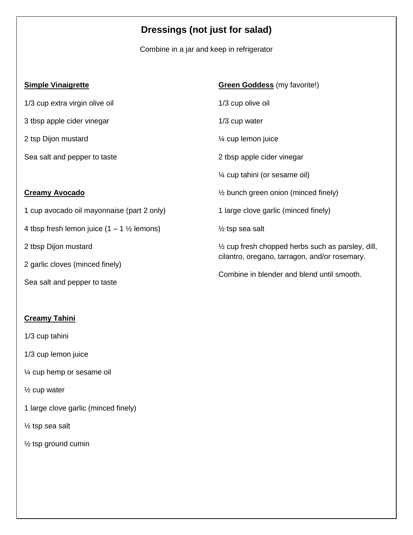# **Dressings (not just for salad)**

Combine in a jar and keep in refrigerator

| <b>Simple Vinaigrette</b>                              | <b>Green Goddess</b> (my favorite!)                          |
|--------------------------------------------------------|--------------------------------------------------------------|
| 1/3 cup extra virgin olive oil                         | 1/3 cup olive oil                                            |
| 3 tbsp apple cider vinegar                             | $1/3$ cup water                                              |
| 2 tsp Dijon mustard                                    | $\frac{1}{4}$ cup lemon juice                                |
| Sea salt and pepper to taste                           | 2 tbsp apple cider vinegar                                   |
|                                                        | $\frac{1}{4}$ cup tahini (or sesame oil)                     |
| <b>Creamy Avocado</b>                                  | $\frac{1}{2}$ bunch green onion (minced finely)              |
| 1 cup avocado oil mayonnaise (part 2 only)             | 1 large clove garlic (minced finely)                         |
| 4 tbsp fresh lemon juice $(1 - 1 \frac{1}{2})$ lemons) | $\frac{1}{2}$ tsp sea salt                                   |
| 2 tbsp Dijon mustard                                   | $\frac{1}{2}$ cup fresh chopped herbs such as parsley, dill, |
| 2 garlic cloves (minced finely)                        | cilantro, oregano, tarragon, and/or rosemary.                |
| Sea salt and pepper to taste                           | Combine in blender and blend until smooth.                   |

### **Creamy Tahini**

1/3 cup tahini

1/3 cup lemon juice

¼ cup hemp or sesame oil

½ cup water

1 large clove garlic (minced finely)

½ tsp sea salt

½ tsp ground cumin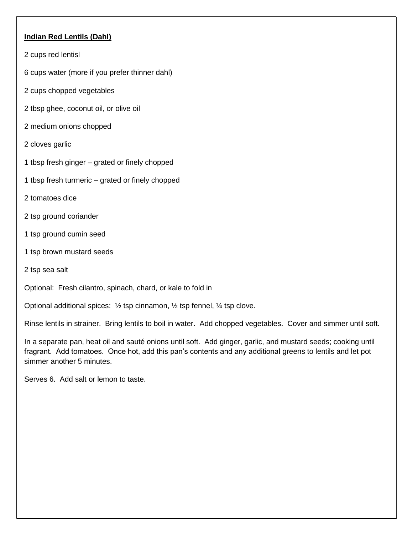### **Indian Red Lentils (Dahl)**

- 2 cups red lentisl
- 6 cups water (more if you prefer thinner dahl)
- 2 cups chopped vegetables
- 2 tbsp ghee, coconut oil, or olive oil
- 2 medium onions chopped
- 2 cloves garlic
- 1 tbsp fresh ginger grated or finely chopped
- 1 tbsp fresh turmeric grated or finely chopped
- 2 tomatoes dice
- 2 tsp ground coriander
- 1 tsp ground cumin seed
- 1 tsp brown mustard seeds
- 2 tsp sea salt

Optional: Fresh cilantro, spinach, chard, or kale to fold in

Optional additional spices: ½ tsp cinnamon, ½ tsp fennel, ¼ tsp clove.

Rinse lentils in strainer. Bring lentils to boil in water. Add chopped vegetables. Cover and simmer until soft.

In a separate pan, heat oil and sauté onions until soft. Add ginger, garlic, and mustard seeds; cooking until fragrant. Add tomatoes. Once hot, add this pan's contents and any additional greens to lentils and let pot simmer another 5 minutes.

Serves 6. Add salt or lemon to taste.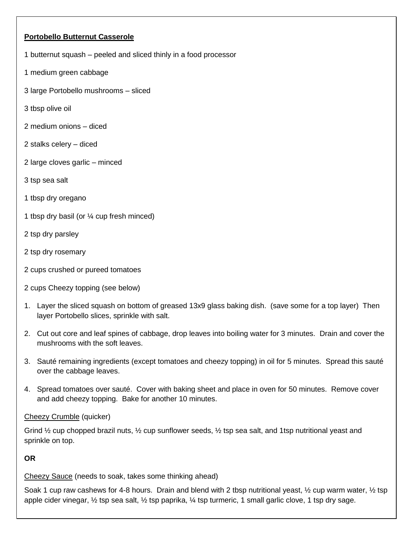### **Portobello Butternut Casserole**

- 1 butternut squash peeled and sliced thinly in a food processor
- 1 medium green cabbage
- 3 large Portobello mushrooms sliced
- 3 tbsp olive oil
- 2 medium onions diced
- 2 stalks celery diced
- 2 large cloves garlic minced
- 3 tsp sea salt
- 1 tbsp dry oregano
- 1 tbsp dry basil (or ¼ cup fresh minced)
- 2 tsp dry parsley
- 2 tsp dry rosemary
- 2 cups crushed or pureed tomatoes
- 2 cups Cheezy topping (see below)
- 1. Layer the sliced squash on bottom of greased 13x9 glass baking dish. (save some for a top layer) Then layer Portobello slices, sprinkle with salt.
- 2. Cut out core and leaf spines of cabbage, drop leaves into boiling water for 3 minutes. Drain and cover the mushrooms with the soft leaves.
- 3. Sauté remaining ingredients (except tomatoes and cheezy topping) in oil for 5 minutes. Spread this sauté over the cabbage leaves.
- 4. Spread tomatoes over sauté. Cover with baking sheet and place in oven for 50 minutes. Remove cover and add cheezy topping. Bake for another 10 minutes.

### Cheezy Crumble (quicker)

Grind ½ cup chopped brazil nuts, ½ cup sunflower seeds, ½ tsp sea salt, and 1tsp nutritional yeast and sprinkle on top.

### **OR**

Cheezy Sauce (needs to soak, takes some thinking ahead)

Soak 1 cup raw cashews for 4-8 hours. Drain and blend with 2 tbsp nutritional yeast, 1/2 cup warm water, 1/2 tsp apple cider vinegar, ½ tsp sea salt, ½ tsp paprika, ¼ tsp turmeric, 1 small garlic clove, 1 tsp dry sage.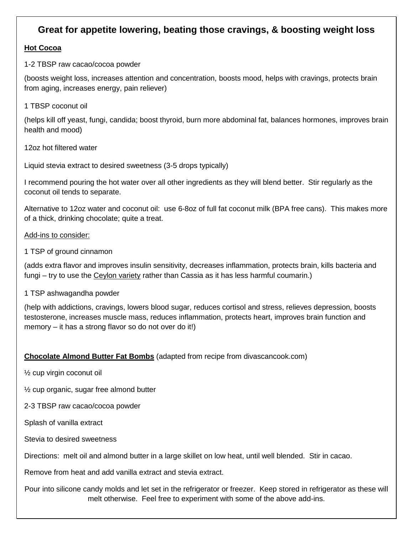### **Great for appetite lowering, beating those cravings, & boosting weight loss**

### **Hot Cocoa**

1-2 TBSP raw cacao/cocoa powder

(boosts weight loss, increases attention and concentration, boosts mood, helps with cravings, protects brain from aging, increases energy, pain reliever)

1 TBSP coconut oil

(helps kill off yeast, fungi, candida; boost thyroid, burn more abdominal fat, balances hormones, improves brain health and mood)

12oz hot filtered water

Liquid stevia extract to desired sweetness (3-5 drops typically)

I recommend pouring the hot water over all other ingredients as they will blend better. Stir regularly as the coconut oil tends to separate.

Alternative to 12oz water and coconut oil: use 6-8oz of full fat coconut milk (BPA free cans). This makes more of a thick, drinking chocolate; quite a treat.

Add-ins to consider:

1 TSP of ground cinnamon

(adds extra flavor and improves insulin sensitivity, decreases inflammation, protects brain, kills bacteria and fungi – try to use the Ceylon variety rather than Cassia as it has less harmful coumarin.)

1 TSP ashwagandha powder

(help with addictions, cravings, lowers blood sugar, reduces cortisol and stress, relieves depression, boosts testosterone, increases muscle mass, reduces inflammation, protects heart, improves brain function and memory – it has a strong flavor so do not over do it!)

### **Chocolate Almond Butter Fat Bombs** (adapted from recipe from divascancook.com)

½ cup virgin coconut oil

½ cup organic, sugar free almond butter

2-3 TBSP raw cacao/cocoa powder

Splash of vanilla extract

Stevia to desired sweetness

Directions: melt oil and almond butter in a large skillet on low heat, until well blended. Stir in cacao.

Remove from heat and add vanilla extract and stevia extract.

Pour into silicone candy molds and let set in the refrigerator or freezer. Keep stored in refrigerator as these will melt otherwise. Feel free to experiment with some of the above add-ins.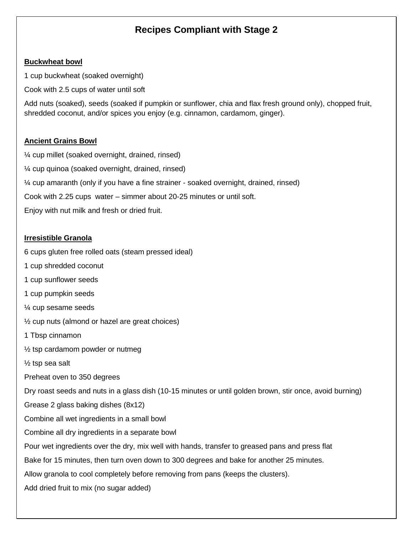## **Recipes Compliant with Stage 2**

#### **Buckwheat bowl**

1 cup buckwheat (soaked overnight)

Cook with 2.5 cups of water until soft

Add nuts (soaked), seeds (soaked if pumpkin or sunflower, chia and flax fresh ground only), chopped fruit, shredded coconut, and/or spices you enjoy (e.g. cinnamon, cardamom, ginger).

### **Ancient Grains Bowl**

¼ cup millet (soaked overnight, drained, rinsed) ¼ cup quinoa (soaked overnight, drained, rinsed) ¼ cup amaranth (only if you have a fine strainer - soaked overnight, drained, rinsed) Cook with 2.25 cups water – simmer about 20-25 minutes or until soft. Enjoy with nut milk and fresh or dried fruit.

### **Irresistible Granola**

6 cups gluten free rolled oats (steam pressed ideal)

- 1 cup shredded coconut
- 1 cup sunflower seeds
- 1 cup pumpkin seeds
- ¼ cup sesame seeds
- ½ cup nuts (almond or hazel are great choices)
- 1 Tbsp cinnamon
- ½ tsp cardamom powder or nutmeg
- ½ tsp sea salt
- Preheat oven to 350 degrees

Dry roast seeds and nuts in a glass dish (10-15 minutes or until golden brown, stir once, avoid burning)

Grease 2 glass baking dishes (8x12)

Combine all wet ingredients in a small bowl

Combine all dry ingredients in a separate bowl

Pour wet ingredients over the dry, mix well with hands, transfer to greased pans and press flat

Bake for 15 minutes, then turn oven down to 300 degrees and bake for another 25 minutes.

Allow granola to cool completely before removing from pans (keeps the clusters).

Add dried fruit to mix (no sugar added)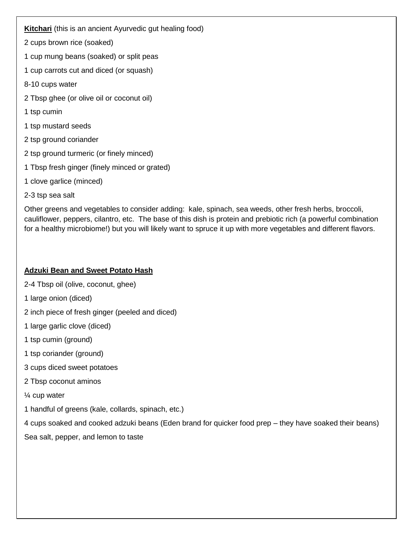### **Kitchari** (this is an ancient Ayurvedic gut healing food)

2 cups brown rice (soaked)

- 1 cup mung beans (soaked) or split peas
- 1 cup carrots cut and diced (or squash)
- 8-10 cups water
- 2 Tbsp ghee (or olive oil or coconut oil)
- 1 tsp cumin
- 1 tsp mustard seeds
- 2 tsp ground coriander
- 2 tsp ground turmeric (or finely minced)
- 1 Tbsp fresh ginger (finely minced or grated)
- 1 clove garlice (minced)
- 2-3 tsp sea salt

Other greens and vegetables to consider adding: kale, spinach, sea weeds, other fresh herbs, broccoli, cauliflower, peppers, cilantro, etc. The base of this dish is protein and prebiotic rich (a powerful combination for a healthy microbiome!) but you will likely want to spruce it up with more vegetables and different flavors.

### **Adzuki Bean and Sweet Potato Hash**

2-4 Tbsp oil (olive, coconut, ghee)

- 1 large onion (diced)
- 2 inch piece of fresh ginger (peeled and diced)
- 1 large garlic clove (diced)
- 1 tsp cumin (ground)
- 1 tsp coriander (ground)
- 3 cups diced sweet potatoes
- 2 Tbsp coconut aminos
- ¼ cup water
- 1 handful of greens (kale, collards, spinach, etc.)

4 cups soaked and cooked adzuki beans (Eden brand for quicker food prep – they have soaked their beans)

Sea salt, pepper, and lemon to taste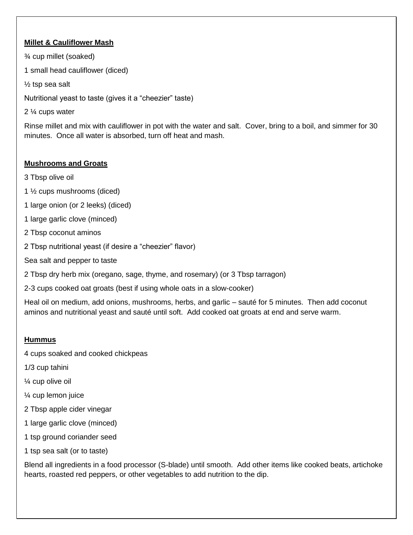### **Millet & Cauliflower Mash**

¾ cup millet (soaked)

1 small head cauliflower (diced)

½ tsp sea salt

Nutritional yeast to taste (gives it a "cheezier" taste)

2 ¼ cups water

Rinse millet and mix with cauliflower in pot with the water and salt. Cover, bring to a boil, and simmer for 30 minutes. Once all water is absorbed, turn off heat and mash.

### **Mushrooms and Groats**

- 3 Tbsp olive oil
- 1 ½ cups mushrooms (diced)
- 1 large onion (or 2 leeks) (diced)
- 1 large garlic clove (minced)
- 2 Tbsp coconut aminos
- 2 Tbsp nutritional yeast (if desire a "cheezier" flavor)
- Sea salt and pepper to taste
- 2 Tbsp dry herb mix (oregano, sage, thyme, and rosemary) (or 3 Tbsp tarragon)
- 2-3 cups cooked oat groats (best if using whole oats in a slow-cooker)

Heal oil on medium, add onions, mushrooms, herbs, and garlic – sauté for 5 minutes. Then add coconut aminos and nutritional yeast and sauté until soft. Add cooked oat groats at end and serve warm.

### **Hummus**

- 4 cups soaked and cooked chickpeas
- 1/3 cup tahini
- ¼ cup olive oil
- ¼ cup lemon juice
- 2 Tbsp apple cider vinegar
- 1 large garlic clove (minced)
- 1 tsp ground coriander seed
- 1 tsp sea salt (or to taste)

Blend all ingredients in a food processor (S-blade) until smooth. Add other items like cooked beats, artichoke hearts, roasted red peppers, or other vegetables to add nutrition to the dip.